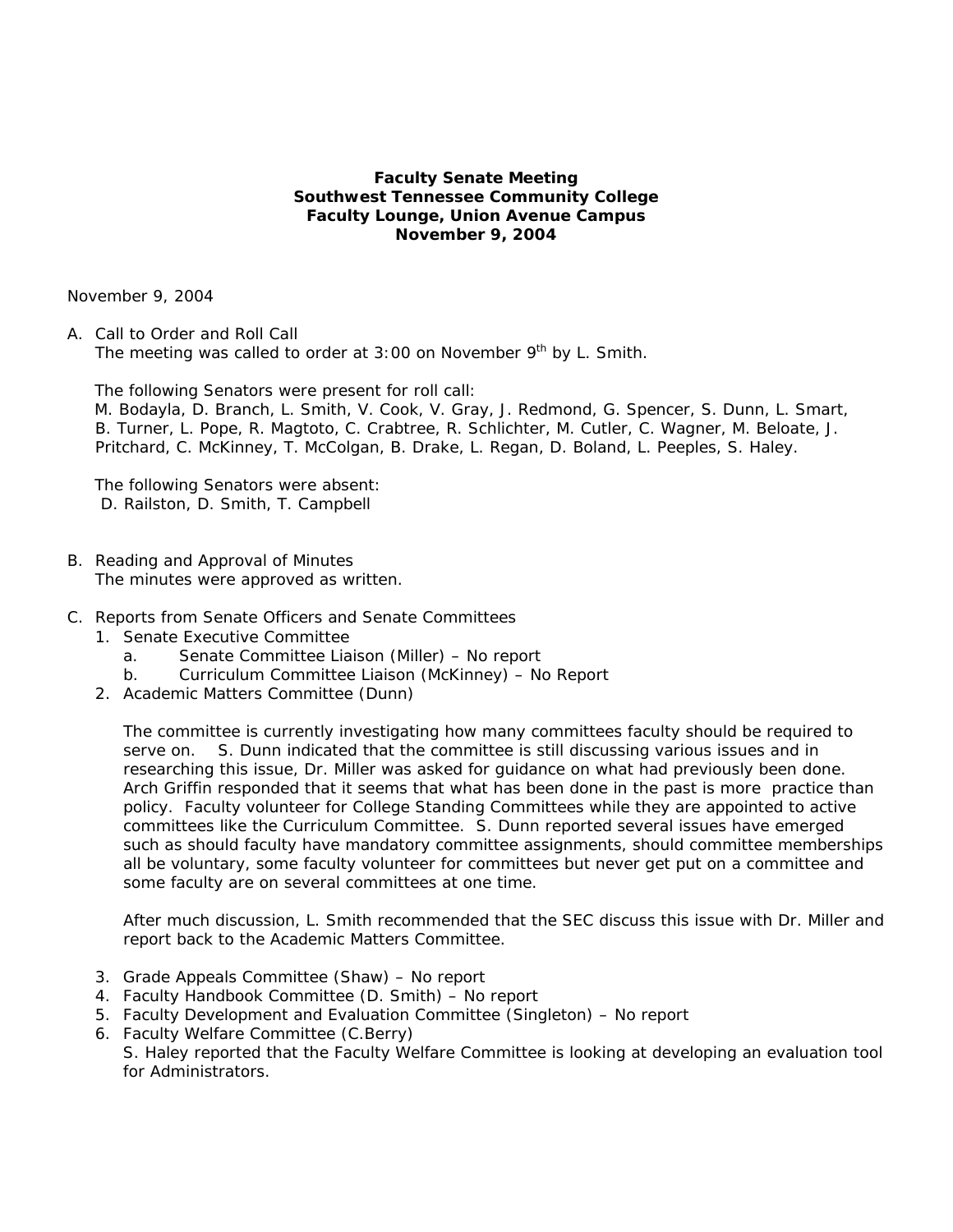## **Faculty Senate Meeting Southwest Tennessee Community College Faculty Lounge, Union Avenue Campus November 9, 2004**

November 9, 2004

A. Call to Order and Roll Call The meeting was called to order at  $3:00$  on November  $9<sup>th</sup>$  by L. Smith.

The following Senators were present for roll call:

 M. Bodayla, D. Branch, L. Smith, V. Cook, V. Gray, J. Redmond, G. Spencer, S. Dunn, L. Smart, B. Turner, L. Pope, R. Magtoto, C. Crabtree, R. Schlichter, M. Cutler, C. Wagner, M. Beloate, J. Pritchard, C. McKinney, T. McColgan, B. Drake, L. Regan, D. Boland, L. Peeples, S. Haley.

 The following Senators were absent: D. Railston, D. Smith, T. Campbell

- B. Reading and Approval of Minutes The minutes were approved as written.
- C. Reports from Senate Officers and Senate Committees
	- 1. Senate Executive Committee
		- a. Senate Committee Liaison (Miller) No report
		- b. Curriculum Committee Liaison (McKinney) No Report
	- 2. Academic Matters Committee (Dunn)

The committee is currently investigating how many committees faculty should be required to serve on. S. Dunn indicated that the committee is still discussing various issues and in researching this issue, Dr. Miller was asked for guidance on what had previously been done. Arch Griffin responded that it seems that what has been done in the past is more practice than policy. Faculty volunteer for College Standing Committees while they are appointed to active committees like the Curriculum Committee. S. Dunn reported several issues have emerged such as should faculty have mandatory committee assignments, should committee memberships all be voluntary, some faculty volunteer for committees but never get put on a committee and some faculty are on several committees at one time.

After much discussion, L. Smith recommended that the SEC discuss this issue with Dr. Miller and report back to the Academic Matters Committee.

- 3. Grade Appeals Committee (Shaw) No report
- 4. Faculty Handbook Committee (D. Smith) No report
- 5. Faculty Development and Evaluation Committee (Singleton) No report
- 6. Faculty Welfare Committee (C.Berry)

S. Haley reported that the Faculty Welfare Committee is looking at developing an evaluation tool for Administrators.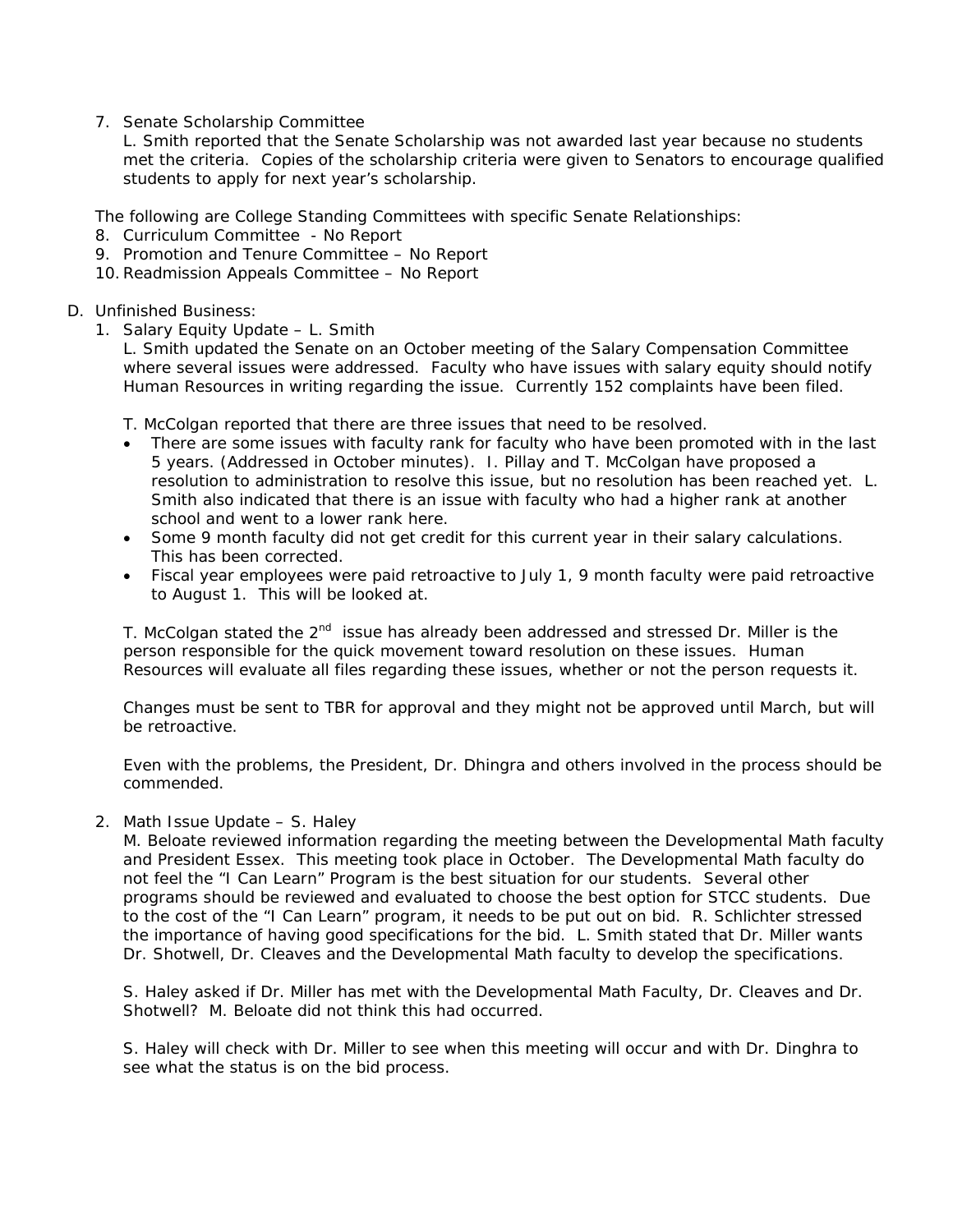7. Senate Scholarship Committee

L. Smith reported that the Senate Scholarship was not awarded last year because no students met the criteria. Copies of the scholarship criteria were given to Senators to encourage qualified students to apply for next year's scholarship.

The following are College Standing Committees with specific Senate Relationships:

- 8. Curriculum Committee No Report
- 9. Promotion and Tenure Committee No Report
- 10.Readmission Appeals Committee No Report

## D. Unfinished Business:

1. Salary Equity Update – L. Smith

L. Smith updated the Senate on an October meeting of the Salary Compensation Committee where several issues were addressed. Faculty who have issues with salary equity should notify Human Resources in writing regarding the issue. Currently 152 complaints have been filed.

T. McColgan reported that there are three issues that need to be resolved.

- There are some issues with faculty rank for faculty who have been promoted with in the last 5 years. (Addressed in October minutes). I. Pillay and T. McColgan have proposed a resolution to administration to resolve this issue, but no resolution has been reached yet. L. Smith also indicated that there is an issue with faculty who had a higher rank at another school and went to a lower rank here.
- Some 9 month faculty did not get credit for this current year in their salary calculations. This has been corrected.
- Fiscal year employees were paid retroactive to July 1, 9 month faculty were paid retroactive to August 1. This will be looked at.

T. McColgan stated the  $2^{nd}$  issue has already been addressed and stressed Dr. Miller is the person responsible for the quick movement toward resolution on these issues. Human Resources will evaluate all files regarding these issues, whether or not the person requests it.

Changes must be sent to TBR for approval and they might not be approved until March, but will be retroactive.

Even with the problems, the President, Dr. Dhingra and others involved in the process should be commended.

2. Math Issue Update – S. Haley

M. Beloate reviewed information regarding the meeting between the Developmental Math faculty and President Essex. This meeting took place in October. The Developmental Math faculty do not feel the "I Can Learn" Program is the best situation for our students. Several other programs should be reviewed and evaluated to choose the best option for STCC students. Due to the cost of the "I Can Learn" program, it needs to be put out on bid. R. Schlichter stressed the importance of having good specifications for the bid. L. Smith stated that Dr. Miller wants Dr. Shotwell, Dr. Cleaves and the Developmental Math faculty to develop the specifications.

S. Haley asked if Dr. Miller has met with the Developmental Math Faculty, Dr. Cleaves and Dr. Shotwell? M. Beloate did not think this had occurred.

S. Haley will check with Dr. Miller to see when this meeting will occur and with Dr. Dinghra to see what the status is on the bid process.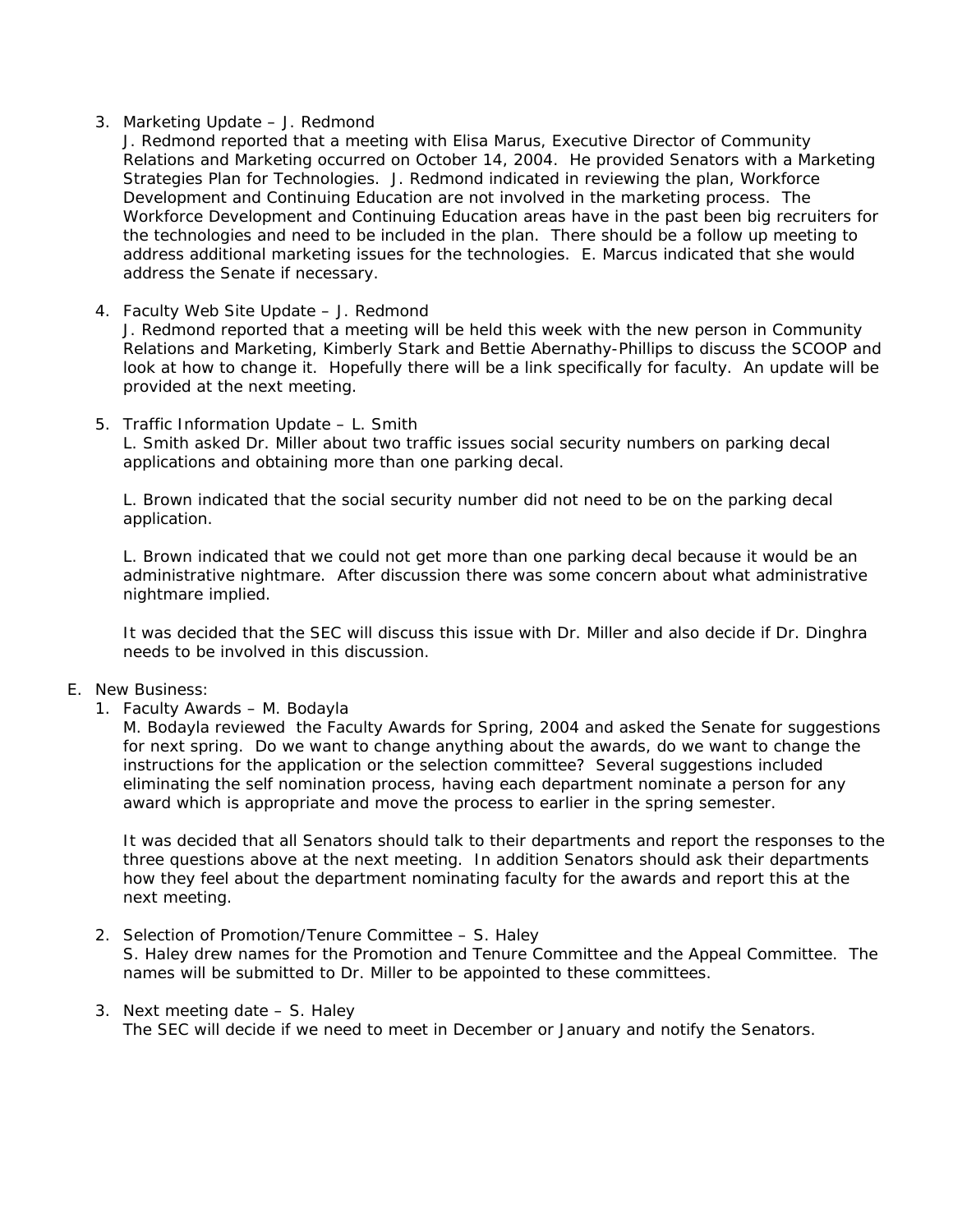### 3. Marketing Update – J. Redmond

J. Redmond reported that a meeting with Elisa Marus, Executive Director of Community Relations and Marketing occurred on October 14, 2004. He provided Senators with a Marketing Strategies Plan for Technologies. J. Redmond indicated in reviewing the plan, Workforce Development and Continuing Education are not involved in the marketing process. The Workforce Development and Continuing Education areas have in the past been big recruiters for the technologies and need to be included in the plan. There should be a follow up meeting to address additional marketing issues for the technologies. E. Marcus indicated that she would address the Senate if necessary.

### 4. Faculty Web Site Update – J. Redmond

J. Redmond reported that a meeting will be held this week with the new person in Community Relations and Marketing, Kimberly Stark and Bettie Abernathy-Phillips to discuss the SCOOP and look at how to change it. Hopefully there will be a link specifically for faculty. An update will be provided at the next meeting.

5. Traffic Information Update – L. Smith L. Smith asked Dr. Miller about two traffic issues social security numbers on parking decal applications and obtaining more than one parking decal.

L. Brown indicated that the social security number did not need to be on the parking decal application.

L. Brown indicated that we could not get more than one parking decal because it would be an administrative nightmare. After discussion there was some concern about what administrative nightmare implied.

It was decided that the SEC will discuss this issue with Dr. Miller and also decide if Dr. Dinghra needs to be involved in this discussion.

### E. New Business:

1. Faculty Awards – M. Bodayla

M. Bodayla reviewed the Faculty Awards for Spring, 2004 and asked the Senate for suggestions for next spring. Do we want to change anything about the awards, do we want to change the instructions for the application or the selection committee? Several suggestions included eliminating the self nomination process, having each department nominate a person for any award which is appropriate and move the process to earlier in the spring semester.

It was decided that all Senators should talk to their departments and report the responses to the three questions above at the next meeting. In addition Senators should ask their departments how they feel about the department nominating faculty for the awards and report this at the next meeting.

2. Selection of Promotion/Tenure Committee – S. Haley

S. Haley drew names for the Promotion and Tenure Committee and the Appeal Committee. The names will be submitted to Dr. Miller to be appointed to these committees.

3. Next meeting date – S. Haley The SEC will decide if we need to meet in December or January and notify the Senators.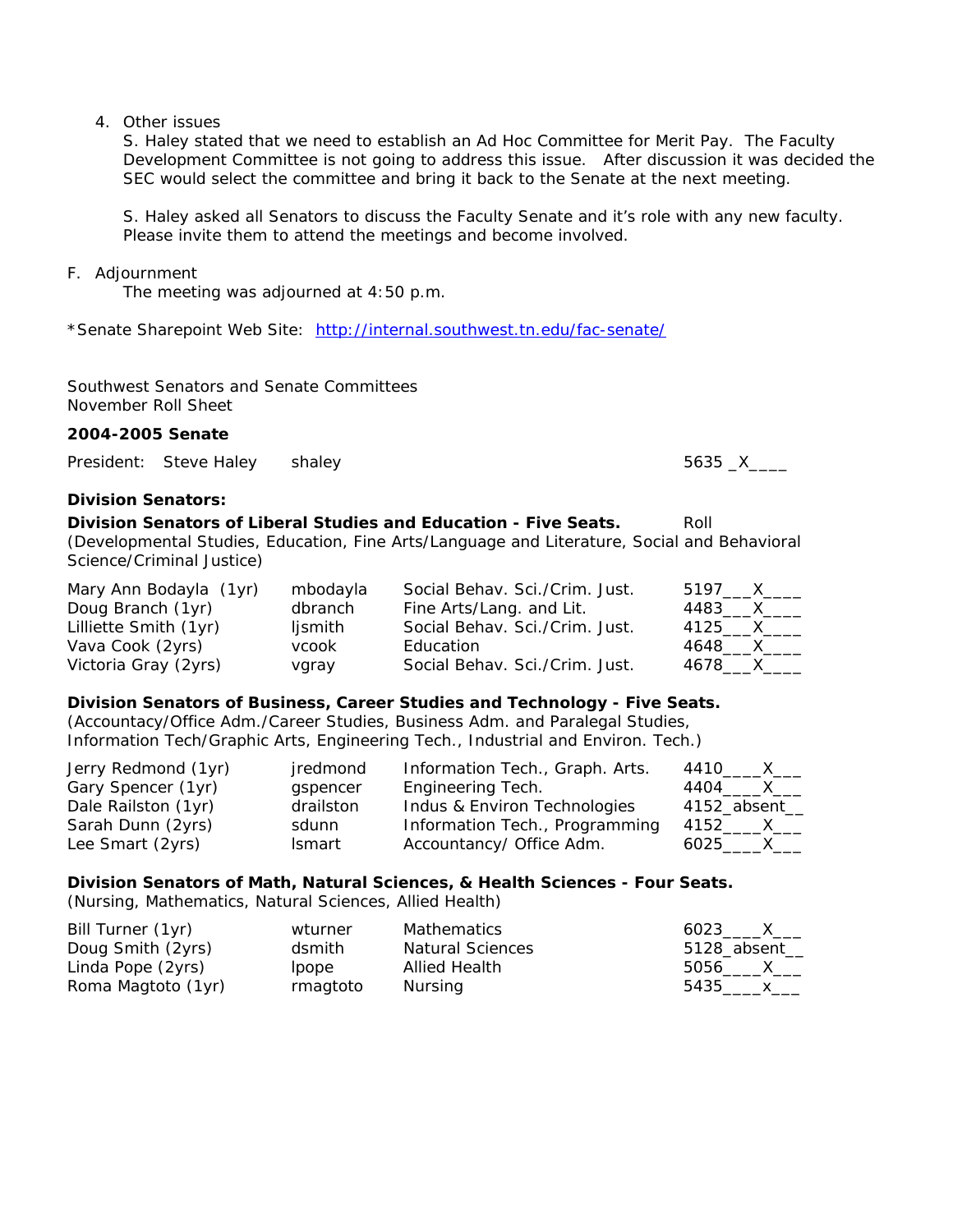## 4. Other issues

S. Haley stated that we need to establish an Ad Hoc Committee for Merit Pay. The Faculty Development Committee is not going to address this issue. After discussion it was decided the SEC would select the committee and bring it back to the Senate at the next meeting.

S. Haley asked all Senators to discuss the Faculty Senate and it's role with any new faculty. Please invite them to attend the meetings and become involved.

## F. Adjournment

The meeting was adjourned at 4:50 p.m.

\*Senate Sharepoint Web Site: <http://internal.southwest.tn.edu/fac-senate/>

Southwest Senators and Senate Committees November Roll Sheet

## **2004-2005 Senate**

President: Steve Haley shaley 5635 \_X\_\_\_\_

### **Division Senators:**

**Division Senators of Liberal Studies and Education - Five Seats.** Roll (Developmental Studies, Education, Fine Arts/Language and Literature, Social and Behavioral Science/Criminal Justice)

| Mary Ann Bodayla (1yr) | mbodayla | Social Behav. Sci./Crim. Just. | 5197____X____   |
|------------------------|----------|--------------------------------|-----------------|
| Doug Branch (1yr)      | dbranch  | Fine Arts/Lang. and Lit.       | 4483____X_____  |
| Lilliette Smith (1yr)  | ljsmith  | Social Behav. Sci./Crim. Just. | 4125_____X_____ |
| Vava Cook (2yrs)       | vcook    | Education                      | 4648____X____   |
| Victoria Gray (2yrs)   | vgray    | Social Behav. Sci./Crim. Just. | 4678 ___ X___   |

### **Division Senators of Business, Career Studies and Technology - Five Seats.**

(Accountacy/Office Adm./Career Studies, Business Adm. and Paralegal Studies, Information Tech/Graphic Arts, Engineering Tech., Industrial and Environ. Tech.)

| Jerry Redmond (1yr) | jredmond      | Information Tech., Graph. Arts. | 4410_____X____    |
|---------------------|---------------|---------------------------------|-------------------|
| Gary Spencer (1yr)  | gspencer      | Engineering Tech.               | 4404_______X_____ |
| Dale Railston (1yr) | drailston     | Indus & Environ Technologies    | 4152_absent_      |
| Sarah Dunn (2yrs)   | sdunn         | Information Tech., Programming  | 4152______X____   |
| Lee Smart (2yrs)    | <b>Ismart</b> | Accountancy/ Office Adm.        | 6025 X            |

# **Division Senators of Math, Natural Sciences, & Health Sciences - Four Seats.**

(Nursing, Mathematics, Natural Sciences, Allied Health)

| Bill Turner (1yr)  | wturner  | Mathematics             | 6023 X         |
|--------------------|----------|-------------------------|----------------|
| Doug Smith (2yrs)  | dsmith   | <b>Natural Sciences</b> | 5128_absent___ |
| Linda Pope (2yrs)  | lpope    | Allied Health           | 5056 X         |
| Roma Magtoto (1yr) | rmagtoto | Nursing                 | 5435 x         |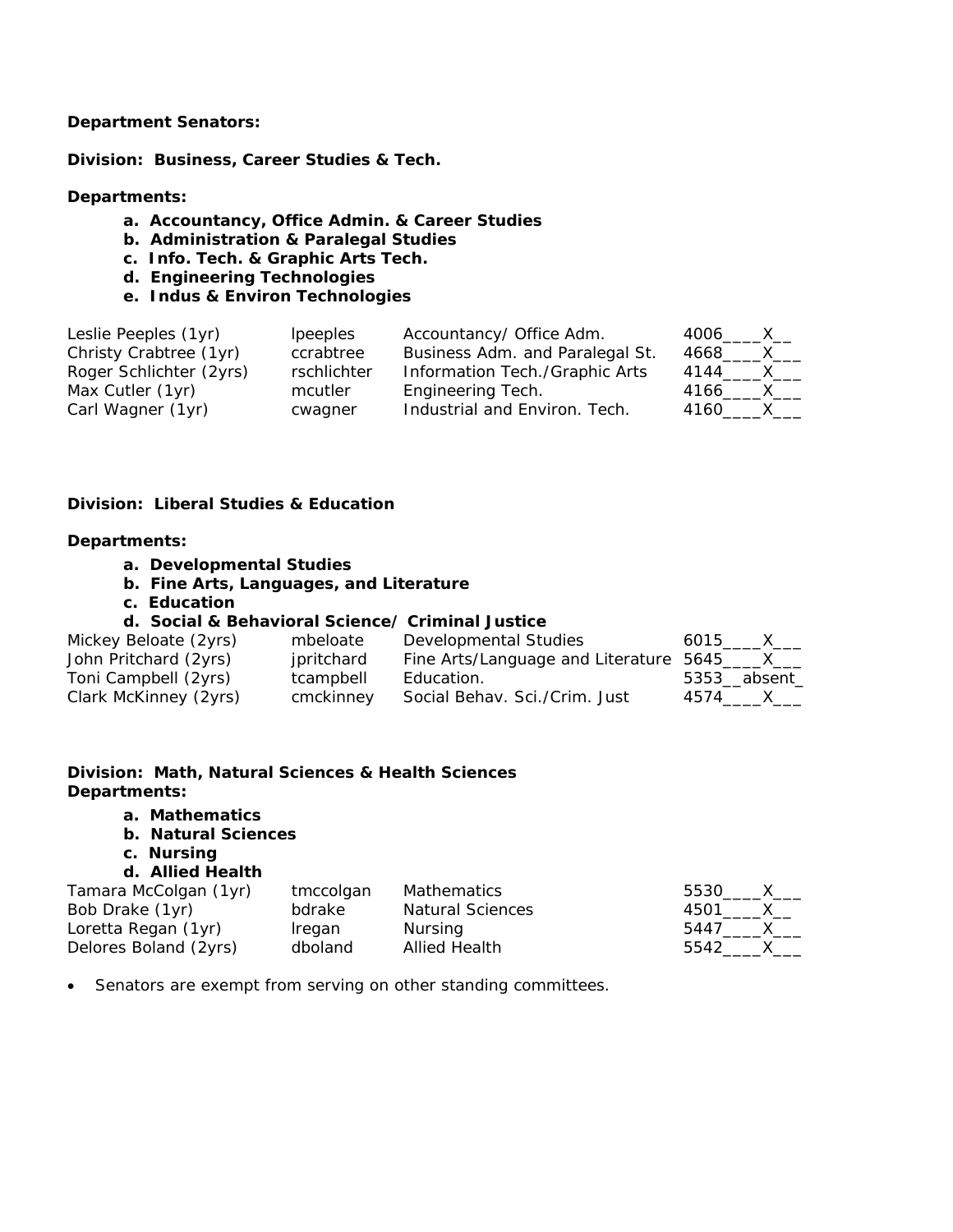### **Department Senators:**

**Division: Business, Career Studies & Tech.** 

### **Departments:**

- **a. Accountancy, Office Admin. & Career Studies**
- **b. Administration & Paralegal Studies**
- **c. Info. Tech. & Graphic Arts Tech.**
- **d. Engineering Technologies**
- **e. Indus & Environ Technologies**

| Leslie Peeples (1yr)    | <i>lpeeples</i> | Accountancy/ Office Adm.        | 4006 X               |
|-------------------------|-----------------|---------------------------------|----------------------|
| Christy Crabtree (1yr)  | ccrabtree       | Business Adm. and Paralegal St. | 4668<br>$\mathsf{X}$ |
| Roger Schlichter (2yrs) | rschlichter     | Information Tech./Graphic Arts  | 4144<br>$\mathsf{X}$ |
| Max Cutler (1yr)        | mcutler         | Engineering Tech.               | 4166 X               |
| Carl Wagner (1yr)       | cwagner         | Industrial and Environ. Tech.   | 4160 X               |

# **Division: Liberal Studies & Education**

### **Departments:**

- **a. Developmental Studies**
- **b. Fine Arts, Languages, and Literature**
- **c. Education**

# **d. Social & Behavioral Science/ Criminal Justice**

| Mickey Beloate (2yrs) | mbeloate   | Developmental Studies                           | 6015 X      |
|-----------------------|------------|-------------------------------------------------|-------------|
| John Pritchard (2yrs) | jpritchard | Fine Arts/Language and Literature 5645_____X___ |             |
| Toni Campbell (2yrs)  | tcampbell  | Education.                                      | 5353 absent |
| Clark McKinney (2yrs) | cmckinney  | Social Behav. Sci./Crim. Just                   | 4574 X      |

# **Division: Math, Natural Sciences & Health Sciences Departments:**

- **a. Mathematics**
- **b. Natural Sciences**
- **c. Nursing**

### **d. Allied Health**

| Tamara McColgan (1yr) | tmccolgan | Mathematics             | 5530______x____ |  |
|-----------------------|-----------|-------------------------|-----------------|--|
| Bob Drake (1yr)       | bdrake    | <b>Natural Sciences</b> | 4501 X          |  |
| Loretta Regan (1yr)   | Iregan    | Nursing                 | 5447 X          |  |
| Delores Boland (2yrs) | dboland   | <b>Allied Health</b>    | 5542 X          |  |

• Senators are exempt from serving on other standing committees.